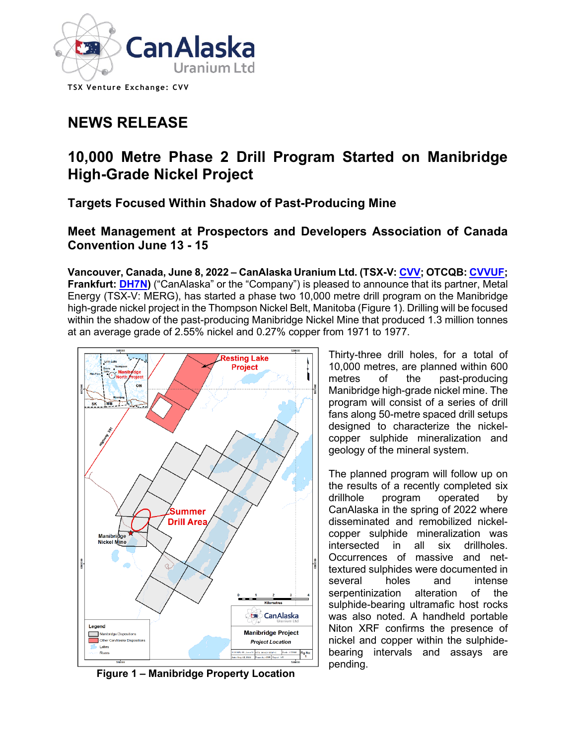

# **NEWS RELEASE**

## **10,000 Metre Phase 2 Drill Program Started on Manibridge High-Grade Nickel Project**

**Targets Focused Within Shadow of Past-Producing Mine** 

**Meet Management at Prospectors and Developers Association of Canada Convention June 13 - 15**

**Vancouver, Canada, June 8, 2022 – CanAlaska Uranium Ltd. (TSX-V[: CVV;](http://www.canalaska.com/s/StockInfo.asp) OTCQB: [CVVUF;](http://www.canalaska.com/s/StockInfo.asp) Frankfurt: [DH7N\)](http://www.canalaska.com/s/StockInfo.asp)** ("CanAlaska" or the "Company") is pleased to announce that its partner, Metal Energy (TSX-V: MERG), has started a phase two 10,000 metre drill program on the Manibridge high-grade nickel project in the Thompson Nickel Belt, Manitoba (Figure 1). Drilling will be focused within the shadow of the past-producing Manibridge Nickel Mine that produced 1.3 million tonnes at an average grade of 2.55% nickel and 0.27% copper from 1971 to 1977.



pending. **Figure 1 – Manibridge Property Location**

Thirty-three drill holes, for a total of 10,000 metres, are planned within 600 metres of the past-producing Manibridge high-grade nickel mine. The program will consist of a series of drill fans along 50-metre spaced drill setups designed to characterize the nickelcopper sulphide mineralization and geology of the mineral system.

The planned program will follow up on the results of a recently completed six drillhole program operated by CanAlaska in the spring of 2022 where disseminated and remobilized nickelcopper sulphide mineralization was intersected in all six drillholes. Occurrences of massive and nettextured sulphides were documented in several holes and intense serpentinization alteration of the sulphide-bearing ultramafic host rocks was also noted. A handheld portable Niton XRF confirms the presence of nickel and copper within the sulphidebearing intervals and assays are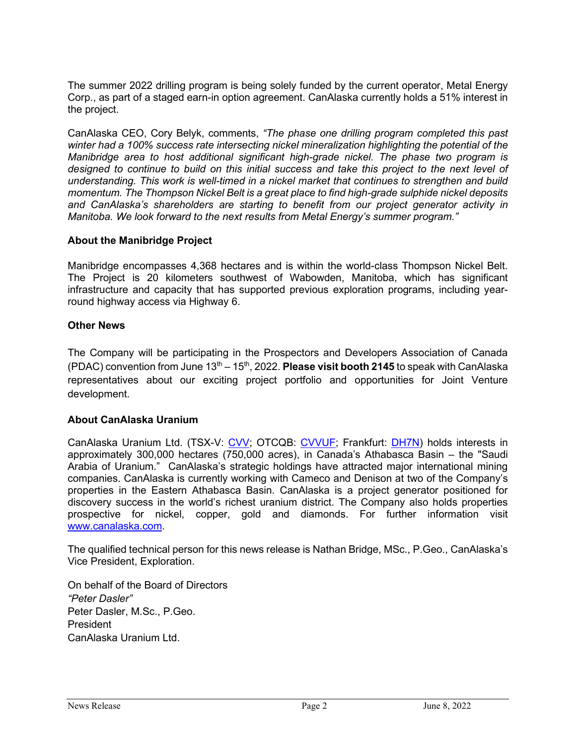The summer 2022 drilling program is being solely funded by the current operator, Metal Energy Corp., as part of a staged earn-in option agreement. CanAlaska currently holds a 51% interest in the project.

CanAlaska CEO, Cory Belyk, comments, *"The phase one drilling program completed this past winter had a 100% success rate intersecting nickel mineralization highlighting the potential of the Manibridge area to host additional significant high-grade nickel. The phase two program is designed to continue to build on this initial success and take this project to the next level of understanding. This work is well-timed in a nickel market that continues to strengthen and build momentum. The Thompson Nickel Belt is a great place to find high-grade sulphide nickel deposits and CanAlaska's shareholders are starting to benefit from our project generator activity in Manitoba. We look forward to the next results from Metal Energy's summer program."* 

#### **About the Manibridge Project**

Manibridge encompasses 4,368 hectares and is within the world-class Thompson Nickel Belt. The Project is 20 kilometers southwest of Wabowden, Manitoba, which has significant infrastructure and capacity that has supported previous exploration programs, including yearround highway access via Highway 6.

#### **Other News**

The Company will be participating in the Prospectors and Developers Association of Canada (PDAC) convention from June 13<sup>th</sup> – 15<sup>th</sup>, 2022. **Please visit booth 2145** to speak with CanAlaska representatives about our exciting project portfolio and opportunities for Joint Venture development.

### **About CanAlaska Uranium**

CanAlaska Uranium Ltd. (TSX-V: [CVV;](http://www.canalaska.com/s/StockInfo.asp) OTCQB: [CVVUF;](http://www.canalaska.com/s/StockInfo.asp) Frankfurt: [DH7N\)](http://www.canalaska.com/s/StockInfo.asp) holds interests in approximately 300,000 hectares (750,000 acres), in Canada's Athabasca Basin – the "Saudi Arabia of Uranium." CanAlaska's strategic holdings have attracted major international mining companies. CanAlaska is currently working with Cameco and Denison at two of the Company's properties in the Eastern Athabasca Basin. CanAlaska is a project generator positioned for discovery success in the world's richest uranium district. The Company also holds properties prospective for nickel, copper, gold and diamonds. For further information visit [www.canalaska.com.](http://www.canalaska.com/)

The qualified technical person for this news release is Nathan Bridge, MSc., P.Geo., CanAlaska's Vice President, Exploration.

On behalf of the Board of Directors *"Peter Dasler"* Peter Dasler, M.Sc., P.Geo. President CanAlaska Uranium Ltd.